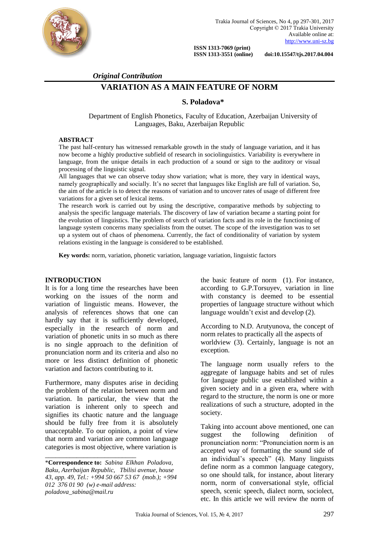

**ISSN 1313-7069 (print)**<br>**ISSN 1313-3551 (online)** 

 **ISSN 1313-3551 (online) doi:10.15547/tjs.2017.04.004**

### *Original Contribution*

# **VARIATION AS A MAIN FEATURE OF NORM**

### **S. Poladova\***

Department of English Phonetics, Faculty of Education, Azerbaijan University of Languages, Baku, Azerbaijan Republic

#### **ABSTRACT**

The past half-century has witnessed remarkable growth in the study of language variation, and it has now become a highly productive subfield of research in sociolinguistics. Variability is everywhere in language, from the unique details in each production of a sound or sign to the auditory or visual processing of the linguistic signal.

All languages that we can observe today show variation; what is more, they vary in identical ways, namely geographically and socially. It's no secret that languages like English are full of variation. So, the aim of the article is to detect the reasons of variation and to uncover rates of usage of different free variations for a given set of lexical items.

The research work is carried out by using the descriptive, comparative methods by subjecting to analysis the specific language materials. The discovery of law of variation became a starting point for the evolution of linguistics. The problem of search of variation facts and its role in the functioning of language system concerns many specialists from the outset. The scope of the investigation was to set up a system out of chaos of phenomena. Currently, the fact of conditionality of variation by system relations existing in the language is considered to be established.

**Key words:** norm, variation, phonetic variation, language variation, linguistic factors

#### **INTRODUCTION**

It is for a long time the researches have been working on the issues of the norm and variation of linguistic means. However, the analysis of references shows that one can hardly say that it is sufficiently developed, especially in the research of norm and variation of phonetic units in so much as there is no single approach to the definition of pronunciation norm and its criteria and also no more or less distinct definition of phonetic variation and factors contributing to it.

Furthermore, many disputes arise in deciding the problem of the relation between norm and variation. In particular, the view that the variation is inherent only to speech and signifies its chaotic nature and the language should be fully free from it is absolutely unacceptable. To our opinion, a point of view that norm and variation are common language categories is most objective, where variation is

\_\_\_\_\_\_\_\_\_\_\_\_\_\_\_\_\_\_\_\_\_\_\_\_\_\_

the basic feature of norm (1). For instance, according to G.P.Torsuyev, variation in line with constancy is deemed to be essential properties of language structure without which language wouldn't exist and develop (2).

According to N.D. Arutyunova, the concept of norm relates to practically all the aspects of worldview (3). Certainly, language is not an exception.

The language norm usually refers to the aggregate of language habits and set of rules for language public use established within a given society and in a given era, where with regard to the structure, the norm is one or more realizations of such a structure, adopted in the society.

Taking into account above mentioned, one can suggest the following definition of pronunciation norm: "Pronunciation norm is an accepted way of formatting the sound side of an individual's speech" (4). Many linguists define norm as a common language category, so one should talk, for instance, about literary norm, norm of conversational style, official speech, scenic speech, dialect norm, sociolect, etc. In this article we will review the norm of

<sup>\*</sup>**Correspondence to:** *Sabina Elkhan Poladova, Baku, Azerbaijan Republic, Tbilisi avenue, house 43, app. 49, Tel.: +994 50 667 53 67 (mob.); +994 012 376 01 90 (w) e-mail address: poladova\_sabina@mail.ru*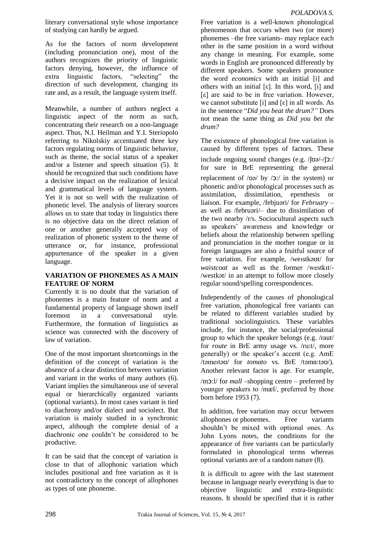As for the factors of norm development (including pronunciation one), most of the authors recognizes the priority of linguistic factors denying, however, the influence of extra linguistic factors, "selecting" the direction of such development, changing its rate and, as a result, the language system itself.

Meanwhile, a number of authors neglect a linguistic aspect of the norm as such, concentrating their research on a non-language aspect. Thus, N.I. Heilman and Y.I. Steriopolo referring to Nikolskiy accentuated three key factors regulating norms of linguistic behavior, such as theme, the social status of a speaker and/or a listener and speech situation (5). It should be recognized that such conditions have a decisive impact on the realization of lexical and grammatical levels of language system. Yet it is not so well with the realization of phonetic level. The analysis of literary sources allows us to state that today in linguistics there is no objective data on the direct relation of one or another generally accepted way of realization of phonetic system to the theme of utterance or, for instance, professional appurtenance of the speaker in a given language.

## **VARIATION OF PHONEMES AS A MAIN FEATURE OF NORM**

Currently it is no doubt that the variation of phonemes is a main feature of norm and a fundamental property of language shown itself foremost in a conversational style. Furthermore, the formation of linguistics as science was connected with the discovery of law of variation.

One of the most important shortcomings in the definition of the concept of variation is the absence of a clear distinction between variation and variant in the works of many authors (6). Variant implies the simultaneous use of several equal or hierarchically organized variants (optional variants). In most cases variant is tied to diachrony and/or dialect and sociolect. But variation is mainly studied in a synchronic aspect, although the complete denial of a diachronic one couldn't be considered to be productive.

It can be said that the concept of variation is close to that of allophonic variation which includes positional and free variation as it is not contradictory to the concept of allophones as types of one phoneme.

Free variation is a well-known phonological phenomenon that occurs when two (or more) phonemes –the free variants- may replace each other in the same position in a word without any change in meaning. For example, some words in English are pronounced differently by different speakers. Some speakers pronounce the word *economics* with an initial [i] and others with an initial  $[\epsilon]$ . In this word,  $[i]$  and [ε] are said to be in free variation. However, we cannot substitute [i] and [ε] in all words. As in the sentence "*Did you beat the drum?"* Does not mean the same thing as *Did you bet the drum?*

The existence of phonological free variation is caused by different types of factors. These include ongoing sound changes (e.g. /ʃʊə/-/ʃɔ:/ for sure in BrE representing the general replacement of  $/\omega \rightarrow \infty$  by  $/2$ : in the system) or phonetic and/or phonological processes such as assimilation, dissimilation, epenthesis or liaison. For example, /febjuəri/ for *February* – as well as /februəri/– due to dissimilation of the two nearby /r/s. Sociocultural aspects such as speakers' awareness and knowledge or beliefs about the relationship between spelling and pronunciation in the mother tongue or in foreign languages are also a fruitful source of free variation. For example, /weıstkəʊt/ for *waistcoat* as well as the former /westkıt/- /westkət/ in an attempt to follow more closely regular sound/spelling correspondences.

Independently of the causes of phonological free variation, phonological free variants can be related to different variables studied by traditional sociolinguistics. These variables include, for instance, the social/professional group to which the speaker belongs (e.g. /raut/ for *route* in BrE army usage vs. /ru:t/, more generally) or the speaker's accent (e.g. AmE /təmeıtəʊ/ for *tomato* vs. BrE /təmɑ:təʊ/). Another relevant factor is age. For example, /mɔ:l/ for *mall –*shopping centre – preferred by younger speakers to /mæl/, preferred by those born before 1953 (7).

In addition, free variation may occur between [allophones](http://www-01.sil.org/linguistics/GlossaryoflinguisticTerms/WhatIsAnAllophone.htm) or [phonemes.](http://www-01.sil.org/linguistics/GlossaryoflinguisticTerms/WhatIsAPhoneme.htm) Free variants shouldn't be mixed with optional ones. As John Lyons notes, the conditions for the appearance of free variants can be particularly formulated in phonological terms whereas optional variants are of a random nature (8).

It is difficult to agree with the last statement because in language nearly everything is due to objective linguistic and extra-linguistic reasons. It should be specified that it is rather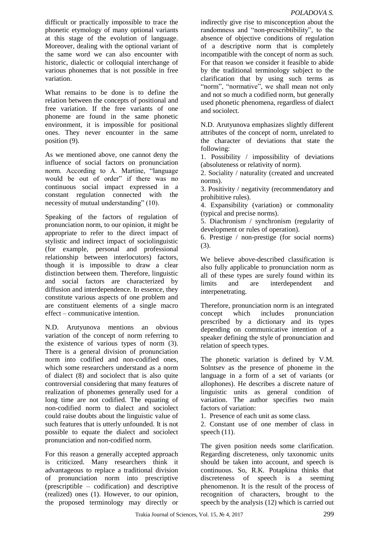difficult or practically impossible to trace the phonetic etymology of many optional variants at this stage of the evolution of language. Moreover, dealing with the optional variant of the same word we can also encounter with historic, dialectic or colloquial interchange of various phonemes that is not possible in free variation.

What remains to be done is to define the relation between the concepts of positional and free variation. If the free variants of one phoneme are found in the same phonetic environment, it is impossible for positional ones. They never encounter in the same position (9).

As we mentioned above, one cannot deny the influence of social factors on pronunciation norm. According to A. Martine, "language would be out of order" if there was no continuous social impact expressed in a constant regulation connected with the necessity of mutual understanding" (10).

Speaking of the factors of regulation of pronunciation norm, to our opinion, it might be appropriate to refer to the direct impact of stylistic and indirect impact of sociolinguistic (for example, personal and professional relationship between interlocutors) factors, though it is impossible to draw a clear distinction between them. Therefore, linguistic and social factors are characterized by diffusion and interdependence. In essence, they constitute various aspects of one problem and are constituent elements of a single macro effect – communicative intention.

N.D. Arutyunova mentions an obvious variation of the concept of norm referring to the existence of various types of norm (3). There is a general division of pronunciation norm into codified and non-codified ones, which some researchers understand as a norm of dialect (8) and sociolect that is also quite controversial considering that many features of realization of phonemes generally used for a long time are not codified. The equating of non-codified norm to dialect and sociolect could raise doubts about the linguistic value of such features that is utterly unfounded. It is not possible to equate the dialect and sociolect pronunciation and non-codified norm.

For this reason a generally accepted approach is criticized. Many researchers think it advantageous to replace a traditional division of pronunciation norm into prescriptive (prescriptible – codification) and descriptive (realized) ones (1). However, to our opinion, the proposed terminology may directly or

indirectly give rise to misconception about the randomness and "non-prescribtibility", to the absence of objective conditions of regulation of a descriptive norm that is completely incompatible with the concept of norm as such. For that reason we consider it feasible to abide by the traditional terminology subject to the clarification that by using such terms as "norm", "normative", we shall mean not only and not so much a codified norm, but generally used phonetic phenomena, regardless of dialect and sociolect.

N.D. Arutyunova emphasizes slightly different attributes of the concept of norm, unrelated to the character of deviations that state the following:

1. Possibility / impossibility of deviations (absoluteness or relativity of norm).

2. Sociality / naturality (created and uncreated norms).

3. Positivity / negativity (recommendatory and prohibitive rules).

4. Expansibility (variation) or commonality (typical and precise norms).

5. Diachronism / synchronism (regularity of development or rules of operation).

6. Prestige / non-prestige (for social norms) (3).

We believe above-described classification is also fully applicable to pronunciation norm as all of these types are surely found within its limits and are interdependent and interpenetrating.

Therefore, pronunciation norm is an integrated concept which includes pronunciation prescribed by a dictionary and its types depending on communicative intention of a speaker defining the style of pronunciation and relation of speech types.

The phonetic variation is defined by V.M. Solntsev as the presence of phoneme in the language in a form of a set of variants (or allophones). He describes a discrete nature of linguistic units as general condition of variation. The author specifies two main factors of variation:

1. Presence of each unit as some class.

2. Constant use of one member of class in speech  $(11)$ .

The given position needs some clarification. Regarding discreteness, only taxonomic units should be taken into account, and speech is continuous. So, R.K. Potapkina thinks that discreteness of speech is a seeming phenomenon. It is the result of the process of recognition of characters, brought to the speech by the analysis (12) which is carried out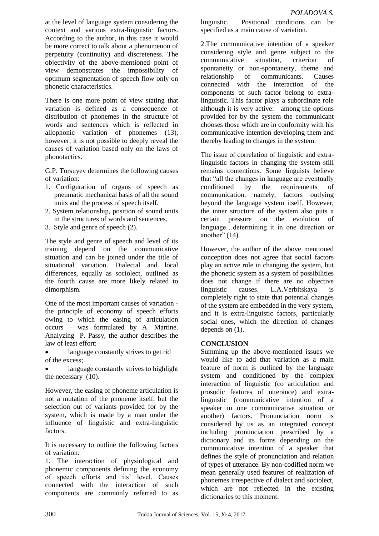at the level of language system considering the context and various extra-linguistic factors. According to the author, in this case it would be more correct to talk about a phenomenon of perpetuity (continuity) and discreteness. The objectivity of the above-mentioned point of view demonstrates the impossibility of optimum segmentation of speech flow only on phonetic characteristics.

There is one more point of view stating that variation is defined as a consequence of distribution of phonemes in the structure of words and sentences which is reflected in allophonic variation of phonemes (13), however, it is not possible to deeply reveal the causes of variation based only on the laws of phonotactics.

G.P. Torsuyev determines the following causes of variation:

- 1. Configuration of organs of speech as pneumatic mechanical basis of all the sound units and the process of speech itself.
- 2. System relationship, position of sound units in the structures of words and sentences.
- 3. Style and genre of speech (2).

The style and genre of speech and level of its training depend on the communicative situation and can be joined under the title of situational variation. Dialectal and local differences, equally as sociolect, outlined as the fourth cause are more likely related to dimorphism.

One of the most important causes of variation the principle of economy of speech efforts owing to which the easing of articulation occurs – was formulated by A. Martine. Analyzing P. Passy, the author describes the law of least effort:

- language constantly strives to get rid of the excess;
- language constantly strives to highlight the necessary (10).

However, the easing of phoneme articulation is not a mutation of the phoneme itself, but the selection out of variants provided for by the system, which is made by a man under the influence of linguistic and extra-linguistic factors.

It is necessary to outline the following factors of variation:

1. The interaction of physiological and phonemic components defining the economy of speech efforts and its' level. Causes connected with the interaction of such components are commonly referred to as

linguistic. Positional conditions can be specified as a main cause of variation.

2.The communicative intention of a speaker considering style and genre subject to the communicative situation, criterion of spontaneity or non-spontaneity, theme and relationship of communicants. Causes connected with the interaction of the components of such factor belong to extralinguistic. This factor plays a subordinate role although it is very active: among the options provided for by the system the communicant chooses those which are in conformity with his communicative intention developing them and thereby leading to changes in the system.

The issue of correlation of linguistic and extralinguistic factors in changing the system still remains contentious. Some linguists believe that "all the changes in language are eventually conditioned by the requirements of communication, namely, factors outlying beyond the language system itself. However, the inner structure of the system also puts a certain pressure on the evolution of language…determining it in one direction or another"  $(14)$ .

However, the author of the above mentioned conception does not agree that social factors play an active role in changing the system, but the phonetic system as a system of possibilities does not change if there are no objective linguistic causes. L.A.Verbitskaya is completely right to state that potential changes of the system are embedded in the very system, and it is extra-linguistic factors, particularly social ones, which the direction of changes depends on (1).

### **CONCLUSION**

Summing up the above-mentioned issues we would like to add that variation as a main feature of norm is outlined by the language system and conditioned by the complex interaction of linguistic (co articulation and prosodic features of utterance) and extralinguistic (communicative intention of a speaker in one communicative situation or another) factors. Pronunciation norm is considered by us as an integrated concept including pronunciation prescribed by a dictionary and its forms depending on the communicative intention of a speaker that defines the style of pronunciation and relation of types of utterance. By non-codified norm we mean generally used features of realization of phonemes irrespective of dialect and sociolect, which are not reflected in the existing dictionaries to this moment.